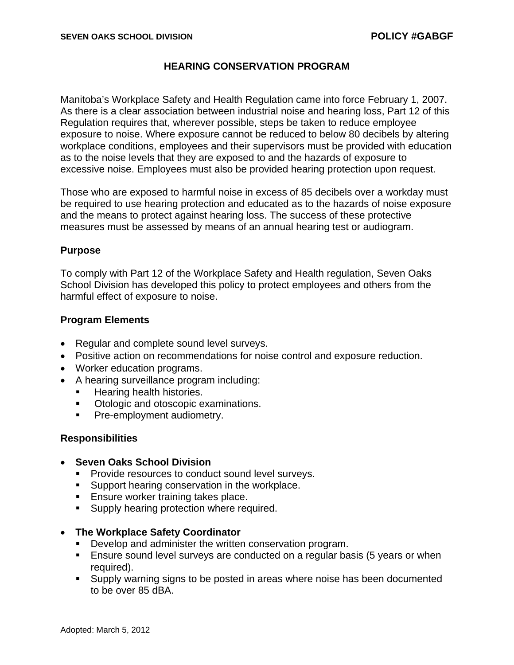# **HEARING CONSERVATION PROGRAM**

Manitoba's Workplace Safety and Health Regulation came into force February 1, 2007. As there is a clear association between industrial noise and hearing loss, Part 12 of this Regulation requires that, wherever possible, steps be taken to reduce employee exposure to noise. Where exposure cannot be reduced to below 80 decibels by altering workplace conditions, employees and their supervisors must be provided with education as to the noise levels that they are exposed to and the hazards of exposure to excessive noise. Employees must also be provided hearing protection upon request.

Those who are exposed to harmful noise in excess of 85 decibels over a workday must be required to use hearing protection and educated as to the hazards of noise exposure and the means to protect against hearing loss. The success of these protective measures must be assessed by means of an annual hearing test or audiogram.

## **Purpose**

To comply with Part 12 of the Workplace Safety and Health regulation, Seven Oaks School Division has developed this policy to protect employees and others from the harmful effect of exposure to noise.

## **Program Elements**

- Regular and complete sound level surveys.
- Positive action on recommendations for noise control and exposure reduction.
- Worker education programs.
- A hearing surveillance program including:
	- Hearing health histories.
	- **Otologic and otoscopic examinations.**
	- **Pre-employment audiometry.**

## **Responsibilities**

- **Seven Oaks School Division** 
	- **Provide resources to conduct sound level surveys.**
	- **Support hearing conservation in the workplace.**
	- **Ensure worker training takes place.**
	- **Supply hearing protection where required.**
- **The Workplace Safety Coordinator** 
	- **Develop and administer the written conservation program.**
	- Ensure sound level surveys are conducted on a regular basis (5 years or when required).
	- Supply warning signs to be posted in areas where noise has been documented to be over 85 dBA.